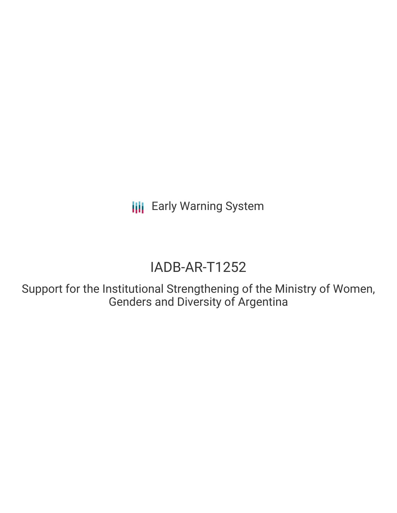**III** Early Warning System

# IADB-AR-T1252

Support for the Institutional Strengthening of the Ministry of Women, Genders and Diversity of Argentina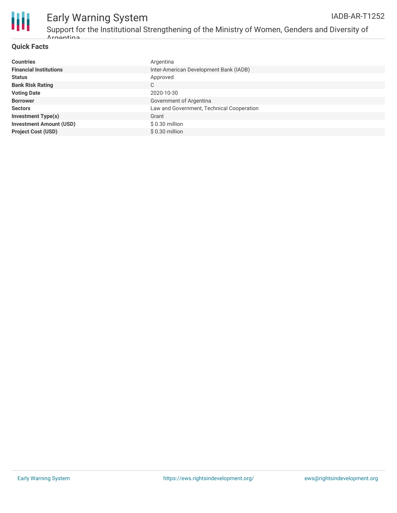

#### Early Warning System Support for the Institutional Strengthening of the Ministry of Women, Genders and Diversity of IADB-AR-T1252

#### **Quick Facts**

Argentina

| <b>Countries</b>               | Argentina                                 |
|--------------------------------|-------------------------------------------|
| <b>Financial Institutions</b>  | Inter-American Development Bank (IADB)    |
| <b>Status</b>                  | Approved                                  |
| <b>Bank Risk Rating</b>        | C                                         |
| <b>Voting Date</b>             | 2020-10-30                                |
| <b>Borrower</b>                | Government of Argentina                   |
| <b>Sectors</b>                 | Law and Government, Technical Cooperation |
| <b>Investment Type(s)</b>      | Grant                                     |
| <b>Investment Amount (USD)</b> | \$ 0.30 million                           |
| <b>Project Cost (USD)</b>      | \$ 0.30 million                           |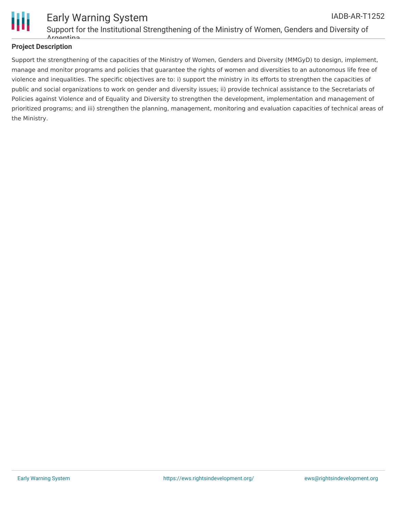

#### Early Warning System Support for the Institutional Strengthening of the Ministry of Women, Genders and Diversity of Argentina IADB-AR-T1252

### **Project Description**

Support the strengthening of the capacities of the Ministry of Women, Genders and Diversity (MMGyD) to design, implement, manage and monitor programs and policies that guarantee the rights of women and diversities to an autonomous life free of violence and inequalities. The specific objectives are to: i) support the ministry in its efforts to strengthen the capacities of public and social organizations to work on gender and diversity issues; ii) provide technical assistance to the Secretariats of Policies against Violence and of Equality and Diversity to strengthen the development, implementation and management of prioritized programs; and iii) strengthen the planning, management, monitoring and evaluation capacities of technical areas of the Ministry.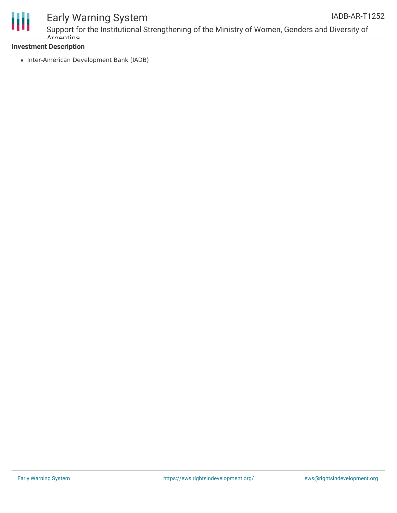

# Early Warning System

Support for the Institutional Strengthening of the Ministry of Women, Genders and Diversity of Argentina

### **Investment Description**

• Inter-American Development Bank (IADB)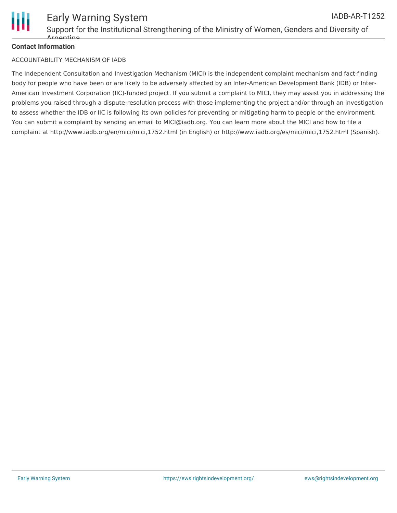

#### **Contact Information**

#### ACCOUNTABILITY MECHANISM OF IADB

The Independent Consultation and Investigation Mechanism (MICI) is the independent complaint mechanism and fact-finding body for people who have been or are likely to be adversely affected by an Inter-American Development Bank (IDB) or Inter-American Investment Corporation (IIC)-funded project. If you submit a complaint to MICI, they may assist you in addressing the problems you raised through a dispute-resolution process with those implementing the project and/or through an investigation to assess whether the IDB or IIC is following its own policies for preventing or mitigating harm to people or the environment. You can submit a complaint by sending an email to MICI@iadb.org. You can learn more about the MICI and how to file a complaint at http://www.iadb.org/en/mici/mici,1752.html (in English) or http://www.iadb.org/es/mici/mici,1752.html (Spanish).